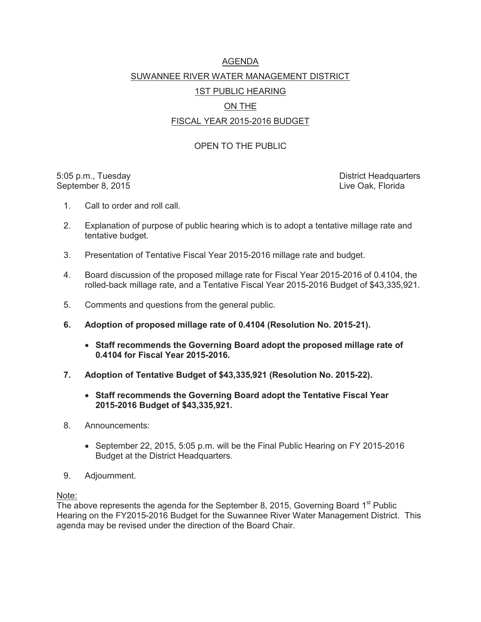### AGENDA SUWANNEE RIVER WATER MANAGEMENT DISTRICT 1ST PUBLIC HEARING ON THE

### FISCAL YEAR 2015-2016 BUDGET

#### OPEN TO THE PUBLIC

September 8, 2015 **Live Oak, Florida** 

5:05 p.m., Tuesday District Headquarters **District Headquarters** 

- 1. Call to order and roll call.
- 2. Explanation of purpose of public hearing which is to adopt a tentative millage rate and tentative budget.
- 3. Presentation of Tentative Fiscal Year 2015-2016 millage rate and budget.
- 4. Board discussion of the proposed millage rate for Fiscal Year 2015-2016 of 0.4104, the rolled-back millage rate, and a Tentative Fiscal Year 2015-2016 Budget of \$43,335,921.
- 5. Comments and questions from the general public.
- **6. Adoption of proposed millage rate of 0.4104 (Resolution No. 2015-21).** 
	- **Staff recommends the Governing Board adopt the proposed millage rate of 0.4104 for Fiscal Year 2015-2016.**
- **7. Adoption of Tentative Budget of \$43,335,921 (Resolution No. 2015-22).** 
	- x **Staff recommends the Governing Board adopt the Tentative Fiscal Year 2015-2016 Budget of \$43,335,921.**
- 8. Announcements:
	- $\bullet$  September 22, 2015, 5:05 p.m. will be the Final Public Hearing on FY 2015-2016 Budget at the District Headquarters.
- 9. Adjournment.

Note:

The above represents the agenda for the September 8, 2015, Governing Board  $1<sup>st</sup>$  Public Hearing on the FY2015-2016 Budget for the Suwannee River Water Management District. This agenda may be revised under the direction of the Board Chair.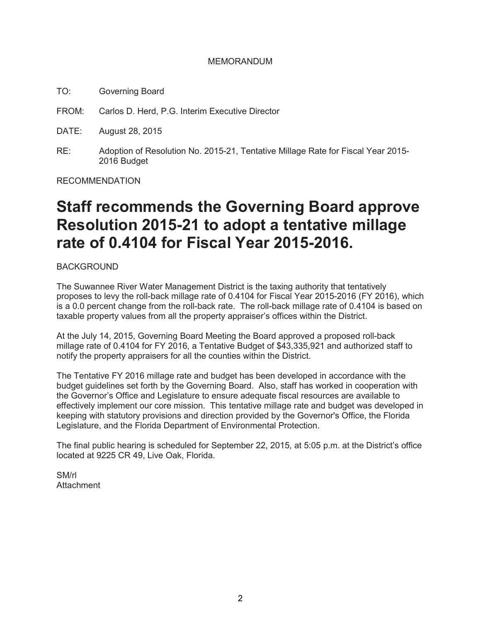#### MEMORANDUM

- TO: Governing Board
- FROM: Carlos D. Herd, P.G. Interim Executive Director
- DATE: August 28, 2015
- RE: Adoption of Resolution No. 2015-21, Tentative Millage Rate for Fiscal Year 2015- 2016 Budget

RECOMMENDATION

# **Staff recommends the Governing Board approve Resolution 2015-21 to adopt a tentative millage rate of 0.4104 for Fiscal Year 2015-2016.**

#### BACKGROUND

The Suwannee River Water Management District is the taxing authority that tentatively proposes to levy the roll-back millage rate of 0.4104 for Fiscal Year 2015-2016 (FY 2016), which is a 0.0 percent change from the roll-back rate. The roll-back millage rate of 0.4104 is based on taxable property values from all the property appraiser's offices within the District.

At the July 14, 2015, Governing Board Meeting the Board approved a proposed roll-back millage rate of 0.4104 for FY 2016, a Tentative Budget of \$43,335,921 and authorized staff to notify the property appraisers for all the counties within the District.

The Tentative FY 2016 millage rate and budget has been developed in accordance with the budget guidelines set forth by the Governing Board. Also, staff has worked in cooperation with the Governor's Office and Legislature to ensure adequate fiscal resources are available to effectively implement our core mission. This tentative millage rate and budget was developed in keeping with statutory provisions and direction provided by the Governor's Office, the Florida Legislature, and the Florida Department of Environmental Protection.

The final public hearing is scheduled for September 22, 2015, at 5:05 p.m. at the District's office located at 9225 CR 49, Live Oak, Florida.

SM/rl **Attachment**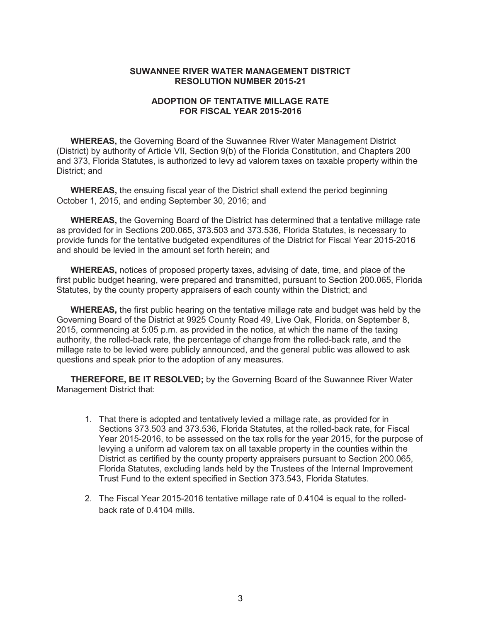#### **SUWANNEE RIVER WATER MANAGEMENT DISTRICT RESOLUTION NUMBER 2015-21**

#### **ADOPTION OF TENTATIVE MILLAGE RATE FOR FISCAL YEAR 2015-2016**

**WHEREAS,** the Governing Board of the Suwannee River Water Management District (District) by authority of Article VII, Section 9(b) of the Florida Constitution, and Chapters 200 and 373, Florida Statutes, is authorized to levy ad valorem taxes on taxable property within the District: and

 **WHEREAS,** the ensuing fiscal year of the District shall extend the period beginning October 1, 2015, and ending September 30, 2016; and

**WHEREAS,** the Governing Board of the District has determined that a tentative millage rate as provided for in Sections 200.065, 373.503 and 373.536, Florida Statutes, is necessary to provide funds for the tentative budgeted expenditures of the District for Fiscal Year 2015-2016 and should be levied in the amount set forth herein; and

**WHEREAS,** notices of proposed property taxes, advising of date, time, and place of the first public budget hearing, were prepared and transmitted, pursuant to Section 200.065, Florida Statutes, by the county property appraisers of each county within the District; and

**WHEREAS,** the first public hearing on the tentative millage rate and budget was held by the Governing Board of the District at 9925 County Road 49, Live Oak, Florida, on September 8, 2015, commencing at 5:05 p.m. as provided in the notice, at which the name of the taxing authority, the rolled-back rate, the percentage of change from the rolled-back rate, and the millage rate to be levied were publicly announced, and the general public was allowed to ask questions and speak prior to the adoption of any measures.

**THEREFORE, BE IT RESOLVED;** by the Governing Board of the Suwannee River Water Management District that:

- 1. That there is adopted and tentatively levied a millage rate, as provided for in Sections 373.503 and 373.536, Florida Statutes, at the rolled-back rate, for Fiscal Year 2015-2016, to be assessed on the tax rolls for the year 2015, for the purpose of levying a uniform ad valorem tax on all taxable property in the counties within the District as certified by the county property appraisers pursuant to Section 200.065, Florida Statutes, excluding lands held by the Trustees of the Internal Improvement Trust Fund to the extent specified in Section 373.543, Florida Statutes.
- 2. The Fiscal Year 2015-2016 tentative millage rate of 0.4104 is equal to the rolledback rate of 0.4104 mills.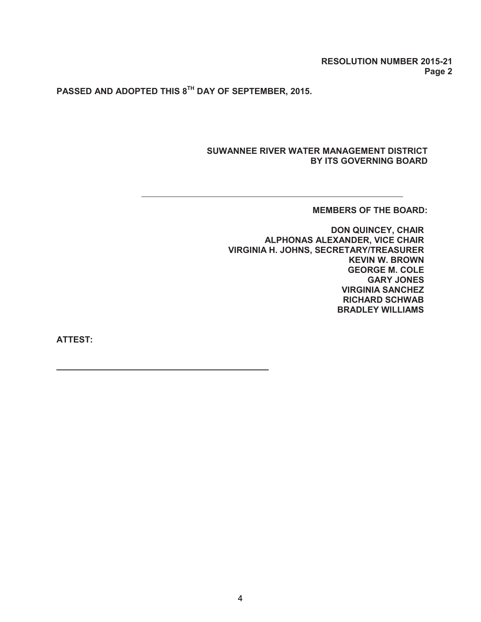**RESOLUTION NUMBER 2015-21 Page 2** 

**PASSED AND ADOPTED THIS 8TH DAY OF SEPTEMBER, 2015.**

#### **SUWANNEE RIVER WATER MANAGEMENT DISTRICT BY ITS GOVERNING BOARD**

#### **MEMBERS OF THE BOARD:**

**DON QUINCEY, CHAIR ALPHONAS ALEXANDER, VICE CHAIR VIRGINIA H. JOHNS, SECRETARY/TREASURER KEVIN W. BROWN GEORGE M. COLE GARY JONES VIRGINIA SANCHEZ RICHARD SCHWAB BRADLEY WILLIAMS** 

**ATTEST:**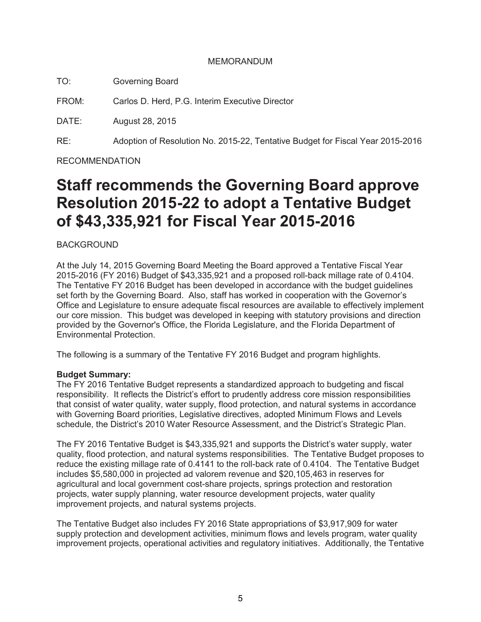#### MEMORANDUM

TO: Governing Board

FROM: Carlos D. Herd, P.G. Interim Executive Director

DATE: August 28, 2015

RE: Adoption of Resolution No. 2015-22, Tentative Budget for Fiscal Year 2015-2016

RECOMMENDATION

# **Staff recommends the Governing Board approve Resolution 2015-22 to adopt a Tentative Budget of \$43,335,921 for Fiscal Year 2015-2016**

BACKGROUND

At the July 14, 2015 Governing Board Meeting the Board approved a Tentative Fiscal Year 2015-2016 (FY 2016) Budget of \$43,335,921 and a proposed roll-back millage rate of 0.4104. The Tentative FY 2016 Budget has been developed in accordance with the budget guidelines set forth by the Governing Board. Also, staff has worked in cooperation with the Governor's Office and Legislature to ensure adequate fiscal resources are available to effectively implement our core mission. This budget was developed in keeping with statutory provisions and direction provided by the Governor's Office, the Florida Legislature, and the Florida Department of Environmental Protection.

The following is a summary of the Tentative FY 2016 Budget and program highlights.

#### **Budget Summary:**

The FY 2016 Tentative Budget represents a standardized approach to budgeting and fiscal responsibility. It reflects the District's effort to prudently address core mission responsibilities that consist of water quality, water supply, flood protection, and natural systems in accordance with Governing Board priorities, Legislative directives, adopted Minimum Flows and Levels schedule, the District's 2010 Water Resource Assessment, and the District's Strategic Plan.

The FY 2016 Tentative Budget is \$43,335,921 and supports the District's water supply, water quality, flood protection, and natural systems responsibilities. The Tentative Budget proposes to reduce the existing millage rate of 0.4141 to the roll-back rate of 0.4104. The Tentative Budget includes \$5,580,000 in projected ad valorem revenue and \$20,105,463 in reserves for agricultural and local government cost-share projects, springs protection and restoration projects, water supply planning, water resource development projects, water quality improvement projects, and natural systems projects.

The Tentative Budget also includes FY 2016 State appropriations of \$3,917,909 for water supply protection and development activities, minimum flows and levels program, water quality improvement projects, operational activities and regulatory initiatives. Additionally, the Tentative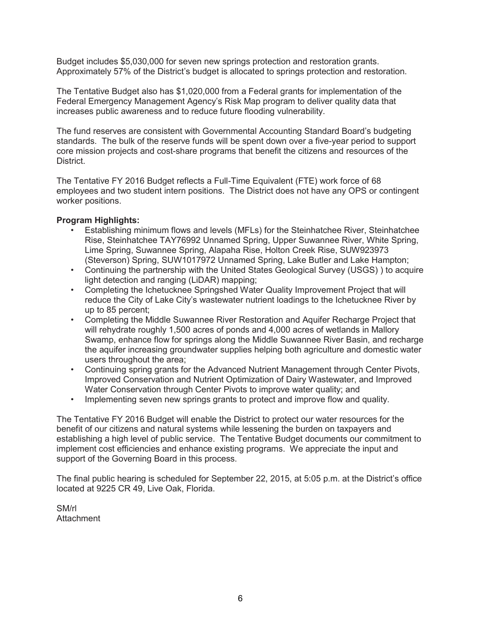Budget includes \$5,030,000 for seven new springs protection and restoration grants. Approximately 57% of the District's budget is allocated to springs protection and restoration.

The Tentative Budget also has \$1,020,000 from a Federal grants for implementation of the Federal Emergency Management Agency's Risk Map program to deliver quality data that increases public awareness and to reduce future flooding vulnerability.

The fund reserves are consistent with Governmental Accounting Standard Board's budgeting standards. The bulk of the reserve funds will be spent down over a five-year period to support core mission projects and cost-share programs that benefit the citizens and resources of the District.

The Tentative FY 2016 Budget reflects a Full-Time Equivalent (FTE) work force of 68 employees and two student intern positions. The District does not have any OPS or contingent worker positions.

#### **Program Highlights:**

- Establishing minimum flows and levels (MFLs) for the Steinhatchee River, Steinhatchee Rise, Steinhatchee TAY76992 Unnamed Spring, Upper Suwannee River, White Spring, Lime Spring, Suwannee Spring, Alapaha Rise, Holton Creek Rise, SUW923973 (Steverson) Spring, SUW1017972 Unnamed Spring, Lake Butler and Lake Hampton;
- Continuing the partnership with the United States Geological Survey (USGS) ) to acquire light detection and ranging (LiDAR) mapping;
- Completing the Ichetucknee Springshed Water Quality Improvement Project that will reduce the City of Lake City's wastewater nutrient loadings to the Ichetucknee River by up to 85 percent;
- Completing the Middle Suwannee River Restoration and Aquifer Recharge Project that will rehydrate roughly 1,500 acres of ponds and 4,000 acres of wetlands in Mallory Swamp, enhance flow for springs along the Middle Suwannee River Basin, and recharge the aquifer increasing groundwater supplies helping both agriculture and domestic water users throughout the area;
- Continuing spring grants for the Advanced Nutrient Management through Center Pivots, Improved Conservation and Nutrient Optimization of Dairy Wastewater, and Improved Water Conservation through Center Pivots to improve water quality; and
- Implementing seven new springs grants to protect and improve flow and quality.

The Tentative FY 2016 Budget will enable the District to protect our water resources for the benefit of our citizens and natural systems while lessening the burden on taxpayers and establishing a high level of public service. The Tentative Budget documents our commitment to implement cost efficiencies and enhance existing programs. We appreciate the input and support of the Governing Board in this process.

The final public hearing is scheduled for September 22, 2015, at 5:05 p.m. at the District's office located at 9225 CR 49, Live Oak, Florida.

SM/rl **Attachment**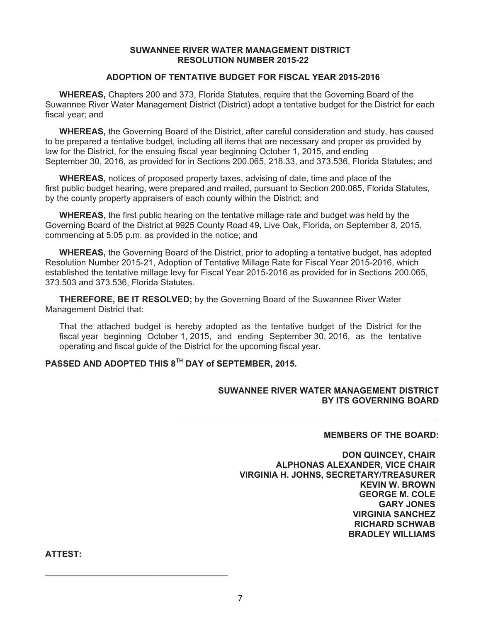#### **SUWANNEE RIVER WATER MANAGEMENT DISTRICT RESOLUTION NUMBER 2015-22**

#### **ADOPTION OF TENTATIVE BUDGET FOR FISCAL YEAR 2015-2016**

**WHEREAS,** Chapters 200 and 373, Florida Statutes, require that the Governing Board of the Suwannee River Water Management District (District) adopt a tentative budget for the District for each fiscal year; and

**WHEREAS,** the Governing Board of the District, after careful consideration and study, has caused to be prepared a tentative budget, including all items that are necessary and proper as provided by law for the District, for the ensuing fiscal year beginning October 1, 2015, and ending September 30, 2016, as provided for in Sections 200.065, 218.33, and 373.536, Florida Statutes; and

**WHEREAS,** notices of proposed property taxes, advising of date, time and place of the first public budget hearing, were prepared and mailed, pursuant to Section 200.065, Florida Statutes, by the county property appraisers of each county within the District; and

**WHEREAS,** the first public hearing on the tentative millage rate and budget was held by the Governing Board of the District at 9925 County Road 49, Live Oak, Florida, on September 8, 2015, commencing at 5:05 p.m. as provided in the notice; and

**WHEREAS,** the Governing Board of the District, prior to adopting a tentative budget, has adopted Resolution Number 2015-21, Adoption of Tentative Millage Rate for Fiscal Year 2015-2016, which established the tentative millage levy for Fiscal Year 2015-2016 as provided for in Sections 200.065, 373.503 and 373.536, Florida Statutes.

**THEREFORE, BE IT RESOLVED;** by the Governing Board of the Suwannee River Water Management District that:

That the attached budget is hereby adopted as the tentative budget of the District for the fiscal year beginning October 1, 2015, and ending September 30, 2016, as the tentative operating and fiscal guide of the District for the upcoming fiscal year.

#### **PASSED AND ADOPTED THIS 8TH DAY of SEPTEMBER, 2015.**

\_\_\_\_\_\_\_\_\_\_\_\_\_\_\_\_\_\_\_\_\_\_\_\_\_\_\_\_\_\_\_\_\_\_\_\_\_\_

#### **SUWANNEE RIVER WATER MANAGEMENT DISTRICT BY ITS GOVERNING BOARD**

#### **MEMBERS OF THE BOARD:**

**DON QUINCEY, CHAIR ALPHONAS ALEXANDER, VICE CHAIR VIRGINIA H. JOHNS, SECRETARY/TREASURER KEVIN W. BROWN GEORGE M. COLE GARY JONES VIRGINIA SANCHEZ RICHARD SCHWAB BRADLEY WILLIAMS** 

**ATTEST:**